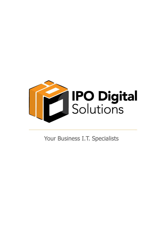

Your Business I.T. Specialists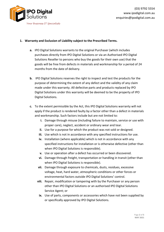

## **1. Warranty and Exclusion of Liability subject to the Prescribed Terms.**

- **a.** IPO Digital Solutions warrants to the original Purchaser (which includes purchases directly from IPO Digital Solutions or via an Authorised IPO Digital Solutions Reseller to persons who buy the goods for their own use) that the goods will be free from defects in materials and workmanship for a period of 24 months from the date of delivery.
- **b.** IPO Digital Solutions reserves the right to inspect and test the products for the purpose of determining the extent of any defect and the validity of any claim made under this warranty. All defective parts and products replaced by IPO Digital Solutions under this warranty will be deemed to be the property of IPO Digital Solutions.
- **c.** To the extent permissible by the Act, this IPO Digital Solutions warranty will not apply if the product is rendered faulty by a factor other than a defect in materials and workmanship. Such factors include but are not limited to:
	- **i.** Damage through misuse (including failure to maintain, service or use with proper care), neglect, accident or ordinary wear and tear.
	- **ii.** Use for a purpose for which the product was not sold or designed.
	- **iii.** Use which is not in accordance with any specified instructions for use.
	- **iv.** Installation (where applicable) which is not in accordance with any specified instructions for installation or is otherwise defective (other than when IPO Digital Solutions is responsible).
	- **v.** Use or operation after a defect has occurred or been discovered.
	- **vi.** Damage through freight, transportation or handling in transit (other than when IPO Digital Solutions is responsible).
	- **vii.** Damage through exposure to chemicals, dusts, residues, excessive voltage, heat, hard water, atmospheric conditions or other forces or environmental factors outside IPO Digital Solutions' control.
	- **viii.** Repair, modification or tampering with by the Purchaser or any person other than IPO Digital Solutions or an authorised IPO Digital Solutions Service Agent; or
	- **ix.** Use of parts, components or accessories which have not been supplied by or specifically approved by IPO Digital Solutions.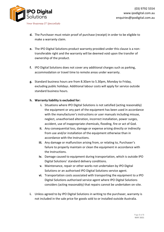

- **d.** The Purchaser must retain proof of purchase (receipt) in order to be eligible to make a warranty claim.
- **e.** The IPO Digital Solutions product warranty provided under this clause is a nontransferable right and the warranty will be deemed void upon the transfer of ownership of the product.
- **f.** IPO Digital Solutions does not cover any additional charges such as parking, accommodation or travel time to remote areas under warranty.
- **g.** Standard business hours are from 8.30am to 5.30pm, Monday to Friday, excluding public holidays. Additional labour costs will apply for service outside standard business hours.

## **h. Warranty liability is excluded for:**

- **i.** Situations where IPO Digital Solutions is not satisfied (acting reasonably) the equipment or any part of the equipment has been used in accordance with the manufacturer's instructions or user manuals including misuse, neglect, unauthorised alteration, incorrect installation, power surges, accident, use of inappropriate chemicals, flooding, fire or act of God.
- **ii.** Any consequential loss, damage or expense arising directly or indirectly from use and/or installation of the equipment otherwise than in accordance with the Instructions.
- **iii.** Any damage or malfunction arising from, or relating to, Purchaser's failure to properly maintain or clean the equipment in accordance with the Instructions.
- **iv.** Damage caused to equipment during transportation, which is outside IPO Digital Solutions' standard delivery conditions.
- **v.** Maintenance, repair or other works not undertaken by IPO Digital Solutions or an authorised IPO Digital Solutions service agent.
- **vi.** Transportation costs associated with transporting the equipment to a IPO Digital Solutions authorised service agent where IPO Digital Solutions considers (acting reasonably) that repairs cannot be undertaken on-site.
- **i.** Unless agreed to by IPO Digital Solutions in writing to the purchaser, warranty is not included in the sale price for goods sold to or installed outside Australia.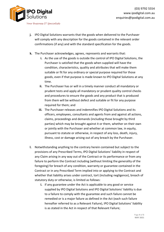

- **j.** IPO Digital Solutions warrants that the goods when delivered to the Purchaser will comply with any description for the goods contained in the relevant order confirmations (if any) and with the standard specification for the goods.
- **k.** The Purchaser acknowledges, agrees, represents and warrants that:
	- **i.** As the use of the goods is outside the control of IPO Digital Solutions, the Purchaser is satisfied that the goods when supplied will have the condition, characteristics, quality and attributes that will make them suitable or fit for any ordinary or special purpose required for those goods, even if that purpose is made known to IPO Digital Solutions at any time.
	- **ii.** The Purchaser has or will in a timely manner conduct all mandatory or prudent tests and apply all mandatory or prudent quality control checks and procedures to ensure the goods and any product that is produced from them will be without defect and suitable or fit for any purpose required for them; and
	- **iii.** The Purchaser releases and indemnifies IPO Digital Solutions and its officers, employees, consultants and agents from and against all actions, claims, proceedings and demands (including those brought by third parties) which may be brought against it or them, whether on their own or jointly with the Purchaser and whether at common law, in equity, pursuant to statute or otherwise, in respect of any loss, death, injury, illness, cost or damage arising out of any breach by the Purchaser.
- **l.** Notwithstanding anything to the contrary herein contained but subject to the provisions of any Prescribed Terms, IPO Digital Solutions' liability in respect of any Claim arising in any way out of the Contract or its performance or from any failure to perform the Contract including (without limiting the generality of the foregoing) for breach of any condition, warranty or guarantee contained in the Contract or in any Prescribed Term implied into or applying to the Contract and whether that liability arises under contract, tort (including negligence), breach of statutory duty or otherwise, is limited as follows:
	- **i.** if any guarantee under the Act is applicable to any good or service supplied by IPO Digital Solutions and IPO Digital Solutions' liability is due to a failure to comply with the guarantee and such failure cannot be remedied or is a major failure as defined in the Act (each such failure hereafter referred to as a Relevant Failure), IPO Digital Solutions' liability is as stated in the Act in respect of that Relevant Failure;